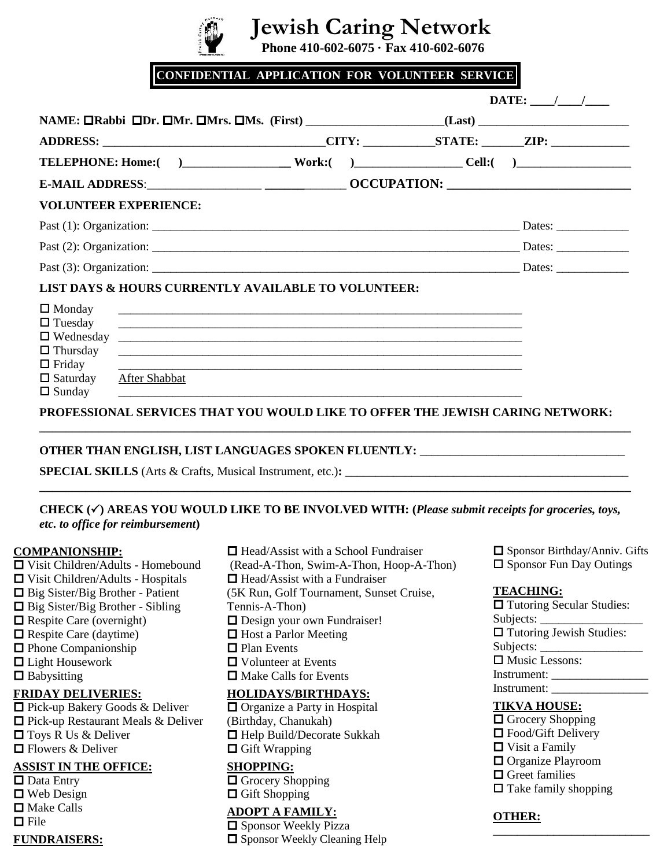# **Jewish Caring Network**

 **Phone 410-602-6075 · Fax 410-602-6076**

**CONFIDENTIAL APPLICATION FOR VOLUNTEER SERVICE** 

|                                                                                                                                                                                    | $\textbf{DATE:}$ / /                                                                                                                                                                                                                                                                                                                                                                                                               |  |
|------------------------------------------------------------------------------------------------------------------------------------------------------------------------------------|------------------------------------------------------------------------------------------------------------------------------------------------------------------------------------------------------------------------------------------------------------------------------------------------------------------------------------------------------------------------------------------------------------------------------------|--|
|                                                                                                                                                                                    |                                                                                                                                                                                                                                                                                                                                                                                                                                    |  |
| ADDRESS: ________________________________CITY: ___________STATE: _______ZIP: _______________________                                                                               |                                                                                                                                                                                                                                                                                                                                                                                                                                    |  |
| TELEPHONE: Home: ( ) Work: ( ) Work: ( ) Cell: ( )                                                                                                                                 |                                                                                                                                                                                                                                                                                                                                                                                                                                    |  |
|                                                                                                                                                                                    |                                                                                                                                                                                                                                                                                                                                                                                                                                    |  |
| <b>VOLUNTEER EXPERIENCE:</b>                                                                                                                                                       |                                                                                                                                                                                                                                                                                                                                                                                                                                    |  |
|                                                                                                                                                                                    |                                                                                                                                                                                                                                                                                                                                                                                                                                    |  |
|                                                                                                                                                                                    | Dates: $\frac{1}{\sqrt{1-\frac{1}{2}}\cdot\sqrt{1-\frac{1}{2}}\cdot\sqrt{1-\frac{1}{2}}\cdot\sqrt{1-\frac{1}{2}}\cdot\sqrt{1-\frac{1}{2}}\cdot\sqrt{1-\frac{1}{2}}\cdot\sqrt{1-\frac{1}{2}}\cdot\sqrt{1-\frac{1}{2}}\cdot\sqrt{1-\frac{1}{2}}\cdot\sqrt{1-\frac{1}{2}}\cdot\sqrt{1-\frac{1}{2}}\cdot\sqrt{1-\frac{1}{2}}\cdot\sqrt{1-\frac{1}{2}}\cdot\sqrt{1-\frac{1}{2}}\cdot\sqrt{1-\frac{1}{2}}\cdot\sqrt{1-\frac{1}{2}}\cdot$ |  |
|                                                                                                                                                                                    |                                                                                                                                                                                                                                                                                                                                                                                                                                    |  |
| <b>LIST DAYS &amp; HOURS CURRENTLY AVAILABLE TO VOLUNTEER:</b>                                                                                                                     |                                                                                                                                                                                                                                                                                                                                                                                                                                    |  |
| $\Box$ Monday<br>$\Box$ Tuesday<br>$\Box$ Thursday<br><u> 1990 - John Stone, amerikansk politiker (d. 1980)</u><br>$\Box$ Friday<br>$\Box$ Saturday After Shabbat<br>$\Box$ Sunday |                                                                                                                                                                                                                                                                                                                                                                                                                                    |  |
| PROFESSIONAL SERVICES THAT YOU WOULD LIKE TO OFFER THE JEWISH CARING NETWORK:                                                                                                      |                                                                                                                                                                                                                                                                                                                                                                                                                                    |  |

## **OTHER THAN ENGLISH, LIST LANGUAGES SPOKEN FLUENTLY:** \_\_\_\_\_\_\_\_\_\_\_\_\_\_\_\_\_\_\_\_\_\_\_\_\_\_\_\_\_\_\_\_\_\_

**SPECIAL SKILLS** (Arts & Crafts, Musical Instrument, etc.):

### **CHECK () AREAS YOU WOULD LIKE TO BE INVOLVED WITH: (***Please submit receipts for groceries, toys, etc. to office for reimbursement***)**

**\_\_\_\_\_\_\_\_\_\_\_\_\_\_\_\_\_\_\_\_\_\_\_\_\_\_\_\_\_\_\_\_\_\_\_\_\_\_\_\_\_\_\_\_\_\_\_\_\_\_\_\_\_\_\_\_\_\_\_\_\_\_\_\_\_\_\_\_\_\_\_\_\_\_\_\_\_\_\_\_\_\_\_\_\_\_\_\_\_\_**

#### **COMPANIONSHIP:**

- Visit Children/Adults Homebound Visit Children/Adults - Hospitals  $\Box$  Big Sister/Big Brother - Patient  $\Box$  Big Sister/Big Brother - Sibling  $\Box$  Respite Care (overnight)  $\Box$  Respite Care (daytime)  $\Box$  Phone Companionship ■ Light Housework
- $\Box$  Babysitting
- 

#### **FRIDAY DELIVERIES:**

□ Pick-up Bakery Goods & Deliver □ Pick-up Restaurant Meals & Deliver □ Toys R Us & Deliver **□** Flowers & Deliver

#### **ASSIST IN THE OFFICE:**

- Data Entry
- Web Design
- Make Calls
- $\Box$  File

#### **FUNDRAISERS:**

 $\Box$  Head/Assist with a School Fundraiser (Read-A-Thon, Swim-A-Thon, Hoop-A-Thon)  $\Box$  Head/Assist with a Fundraiser (5K Run, Golf Tournament, Sunset Cruise, Tennis-A-Thon) Design your own Fundraiser!  $\Box$  Host a Parlor Meeting □ Plan Events □ Volunteer at Events □ Make Calls for Events **HOLIDAYS/BIRTHDAYS:** □ Organize a Party in Hospital (Birthday, Chanukah) □ Help Build/Decorate Sukkah  $\Box$  Gift Wrapping

## **SHOPPING:**

 $\Box$  Grocery Shopping **□** Gift Shopping

# **ADOPT A FAMILY:**

□ Sponsor Weekly Pizza □ Sponsor Weekly Cleaning Help  $\Box$  Sponsor Birthday/Anniv. Gifts  $\square$  Sponsor Fun Day Outings

### **TEACHING:**

**T** Tutoring Secular Studies: Subjects:  $\Box$  Tutoring Jewish Studies: Subjects: □ Music Lessons: Instrument: \_\_\_\_\_\_\_\_\_\_\_\_\_\_\_\_ Instrument: \_\_\_\_\_\_\_\_\_\_\_\_\_\_\_\_

# **TIKVA HOUSE:**

**O** Grocery Shopping ■ Food/Gift Delivery ■ Visit a Family **O** Organize Playroom **O** Greet families  $\Box$  Take family shopping

\_\_\_\_\_\_\_\_\_\_\_\_\_\_\_\_\_\_\_\_\_\_\_\_\_\_

## **OTHER:**